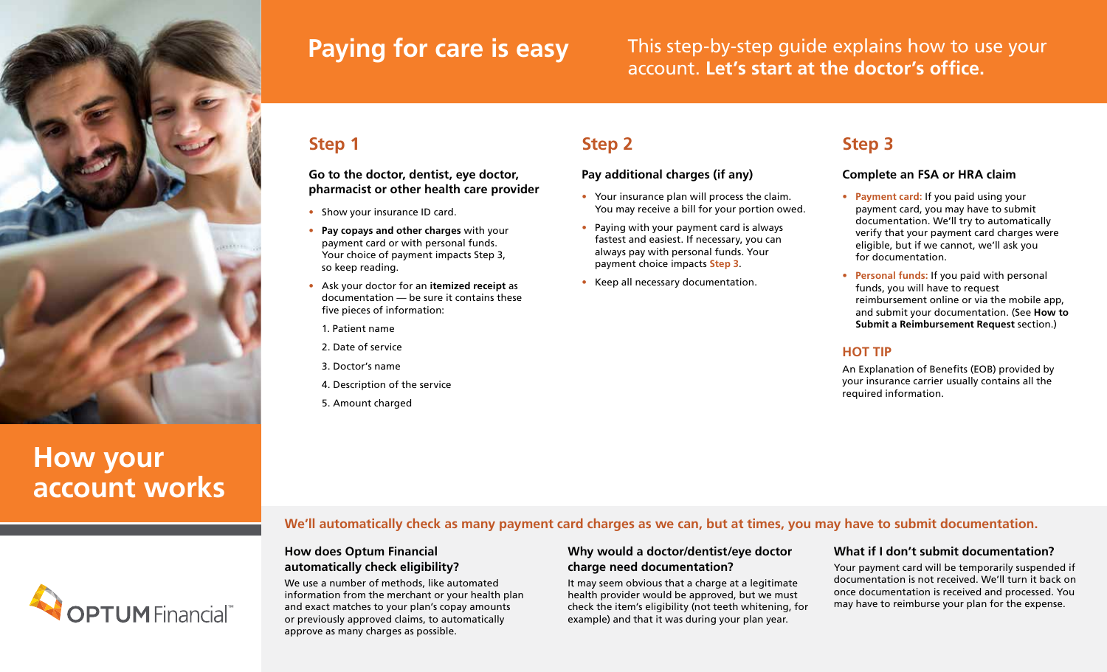

# **How your account works**

**Paying for care is easy** This step-by-step guide explains how to use your account. **Let's start at the doctor's office.**

## **Step 1 Step 2 Step 3**

**Go to the doctor, dentist, eye doctor, pharmacist or other health care provider**

• Show your insurance ID card.

• **Pay copays and other charges** with your payment card or with personal funds. Your choice of payment impacts Step 3, so keep reading.

- Ask your doctor for an **itemized receipt** as documentation — be sure it contains these five pieces of information:
	- 1. Patient name
	- 2. Date of service
	- 3. Doctor's name
	- 4. Description of the service
	- 5. Amount charged

#### **Pay additional charges (if any)**

- Your insurance plan will process the claim. You may receive a bill for your portion owed.
- Paying with your payment card is always fastest and easiest. If necessary, you can always pay with personal funds. Your payment choice impacts **Step 3**.
- Keep all necessary documentation.

#### **Complete an FSA or HRA claim**

- **Payment card:** If you paid using your payment card, you may have to submit documentation. We'll try to automatically verify that your payment card charges were eligible, but if we cannot, we'll ask you for documentation.
- **Personal funds:** If you paid with personal funds, you will have to request reimbursement online or via the mobile app, and submit your documentation. (See **How to Submit a Reimbursement Request** section.)

#### **HOT TIP**

An Explanation of Benefits (EOB) provided by your insurance carrier usually contains all the required information.

### **We'll automatically check as many payment card charges as we can, but at times, you may have to submit documentation.**

#### **How does Optum Financial automatically check eligibility?**

We use a number of methods, like automated information from the merchant or your health plan and exact matches to your plan's copay amounts or previously approved claims, to automatically approve as many charges as possible.

#### **Why would a doctor/dentist/eye doctor charge need documentation?**

It may seem obvious that a charge at a legitimate health provider would be approved, but we must check the item's eligibility (not teeth whitening, for example) and that it was during your plan year.

### **What if I don't submit documentation?**

Your payment card will be temporarily suspended if documentation is not received. We'll turn it back on once documentation is received and processed. You may have to reimburse your plan for the expense.